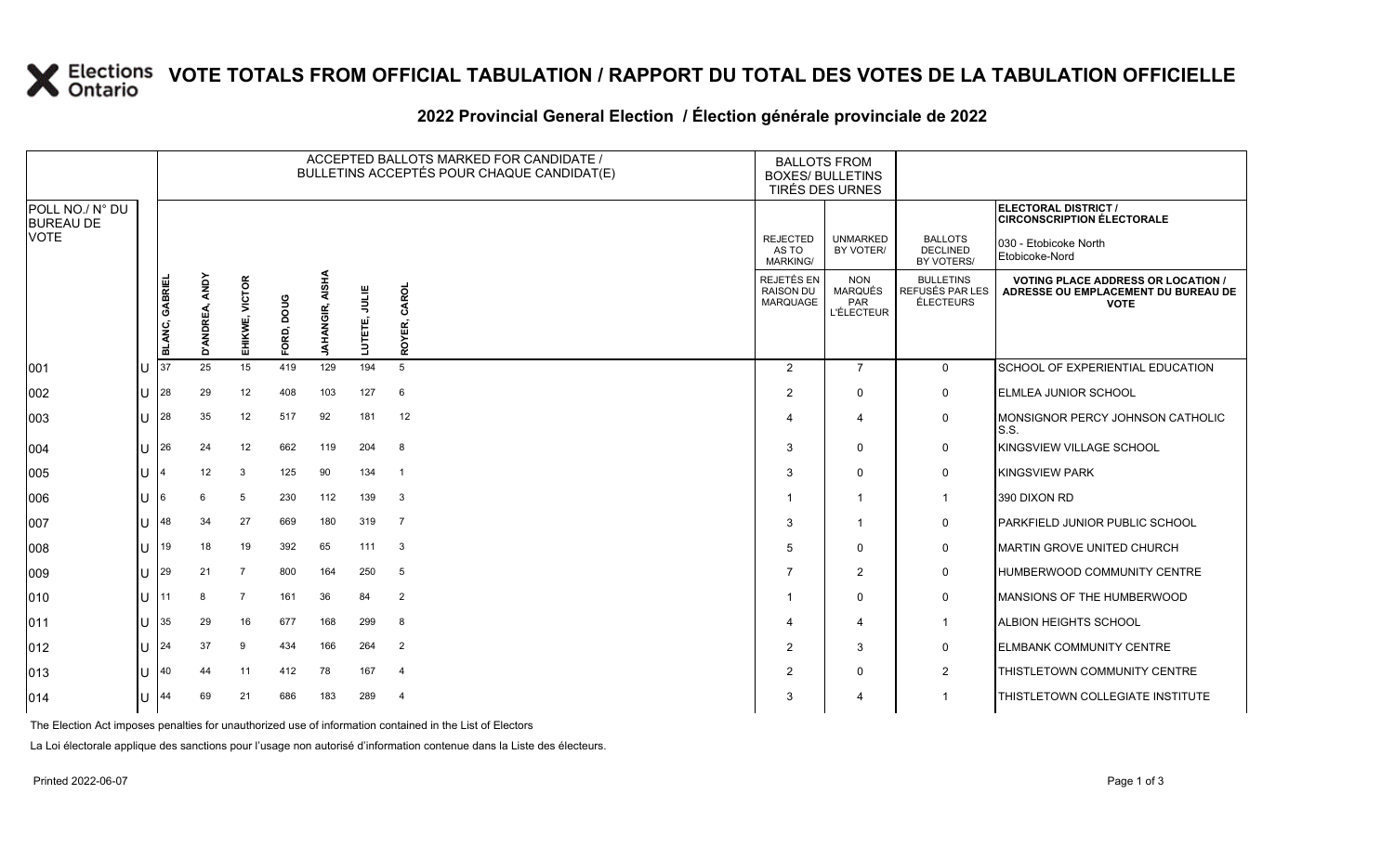### **VOTE TOTALS FROM OFFICIAL TABULATION / RAPPORT DU TOTAL DES VOTES DE LA TABULATION OFFICIELLE**

#### 2022 Provincial General Election / Election générale provinciale de 2022

|                                     |              | ACCEPTED BALLOTS MARKED FOR CANDIDATE /<br>BULLETINS ACCEPTÉS POUR CHAQUE CANDIDAT(E) |                   |                |            |                        |                  |                 | <b>BALLOTS FROM</b><br><b>BOXES/ BULLETINS</b> | TIRÉS DES URNES                                          |                                                  |                                                                                                 |
|-------------------------------------|--------------|---------------------------------------------------------------------------------------|-------------------|----------------|------------|------------------------|------------------|-----------------|------------------------------------------------|----------------------------------------------------------|--------------------------------------------------|-------------------------------------------------------------------------------------------------|
| POLL NO./ N° DU<br><b>BUREAU DE</b> |              |                                                                                       |                   |                |            |                        |                  |                 |                                                |                                                          |                                                  | ELECTORAL DISTRICT /<br><b>CIRCONSCRIPTION ÉLECTORALE</b>                                       |
| <b>VOTE</b>                         |              |                                                                                       |                   |                |            |                        |                  |                 | <b>REJECTED</b><br>AS TO<br><b>MARKING/</b>    | <b>UNMARKED</b><br>BY VOTER/                             | <b>BALLOTS</b><br><b>DECLINED</b><br>BY VOTERS/  | 030 - Etobicoke North<br>Etobicoke-Nord                                                         |
|                                     |              | BLANC, GABRIEL                                                                        | ANDY<br>D'ANDREA, | EHIKWE, VICTOR | FORD, DOUG | <b>JAHANGIR, AISHA</b> | JULIE<br>LUTETE, | CAROL<br>ROYER, | REJETÉS EN<br><b>RAISON DU</b><br>MARQUAGE     | <b>NON</b><br><b>MARQUÉS</b><br>PAR<br><b>L'ÉLECTEUR</b> | <b>BULLETINS</b><br>REFUSÉS PAR LES<br>ÉLECTEURS | <b>VOTING PLACE ADDRESS OR LOCATION /</b><br>ADRESSE OU EMPLACEMENT DU BUREAU DE<br><b>VOTE</b> |
| 001                                 |              | 37                                                                                    | 25                | 15             | 419        | 129                    | 194              | 5               | $\overline{2}$                                 | $\overline{7}$                                           | $\overline{0}$                                   | SCHOOL OF EXPERIENTIAL EDUCATION                                                                |
| 002                                 |              | 28                                                                                    | 29                | 12             | 408        | 103                    | 127              | 6               | 2                                              | $\mathbf{0}$                                             | $\mathsf{O}$                                     | <b>ELMLEA JUNIOR SCHOOL</b>                                                                     |
| 003                                 |              | 28                                                                                    | 35                | 12             | 517        | 92                     | 181              | 12              | 4                                              | $\overline{4}$                                           | 0                                                | MONSIGNOR PERCY JOHNSON CATHOLIC<br>S.S.                                                        |
| 004                                 |              | 26                                                                                    | 24                | 12             | 662        | 119                    | 204              | - 8             | 3                                              | $\Omega$                                                 | $\mathbf 0$                                      | KINGSVIEW VILLAGE SCHOOL                                                                        |
| 005                                 |              |                                                                                       | 12                | 3              | 125        | 90                     | 134              | $\overline{1}$  | 3                                              | $\mathbf{0}$                                             | 0                                                | <b>KINGSVIEW PARK</b>                                                                           |
| 006                                 |              |                                                                                       | 6                 | 5              | 230        | 112                    | 139              | $\mathbf{3}$    | -1                                             | $\overline{1}$                                           | $\mathbf{1}$                                     | 390 DIXON RD                                                                                    |
| 007                                 |              | 48                                                                                    | 34                | 27             | 669        | 180                    | 319              | $\overline{7}$  | 3                                              | $\mathbf 1$                                              | 0                                                | <b>IPARKFIELD JUNIOR PUBLIC SCHOOL</b>                                                          |
| 008                                 |              | 19                                                                                    | 18                | 19             | 392        | 65                     | 111              | $\mathbf{3}$    | 5                                              | $\Omega$                                                 | 0                                                | MARTIN GROVE UNITED CHURCH                                                                      |
| 009                                 |              | 29                                                                                    | 21                | $\overline{7}$ | 800        | 164                    | 250              | 5               | 7                                              | $\overline{2}$                                           | $\mathbf 0$                                      | HUMBERWOOD COMMUNITY CENTRE                                                                     |
| 010                                 |              | 11                                                                                    | 8                 | $\overline{7}$ | 161        | 36                     | 84               | 2               | -1                                             | $\Omega$                                                 | $\mathsf{O}$                                     | MANSIONS OF THE HUMBERWOOD                                                                      |
| 011                                 |              | 35                                                                                    | 29                | 16             | 677        | 168                    | 299              | 8               | 4                                              | $\overline{\mathbf{4}}$                                  | $\mathbf{1}$                                     | <b>ALBION HEIGHTS SCHOOL</b>                                                                    |
| 012                                 | $\mathbf{H}$ | 24                                                                                    | 37                | 9              | 434        | 166                    | 264              | $\overline{2}$  | $\overline{2}$                                 | 3                                                        | $\mathbf 0$                                      | <b>ELMBANK COMMUNITY CENTRE</b>                                                                 |
| 013                                 |              | 40                                                                                    | 44                | 11             | 412        | 78                     | 167              | $\overline{4}$  | 2                                              | $\mathbf{0}$                                             | $\overline{2}$                                   | THISTLETOWN COMMUNITY CENTRE                                                                    |
| 014                                 |              | 44                                                                                    | 69                | 21             | 686        | 183                    | 289              | - 4             | 3                                              | 4                                                        | $\mathbf 1$                                      | THISTLETOWN COLLEGIATE INSTITUTE                                                                |

The Election Act imposes penalties for unauthorized use of information contained in the List of Electors

La Loi électorale applique des sanctions pour l'usage non autorisé d'information contenue dans la Liste des électeurs.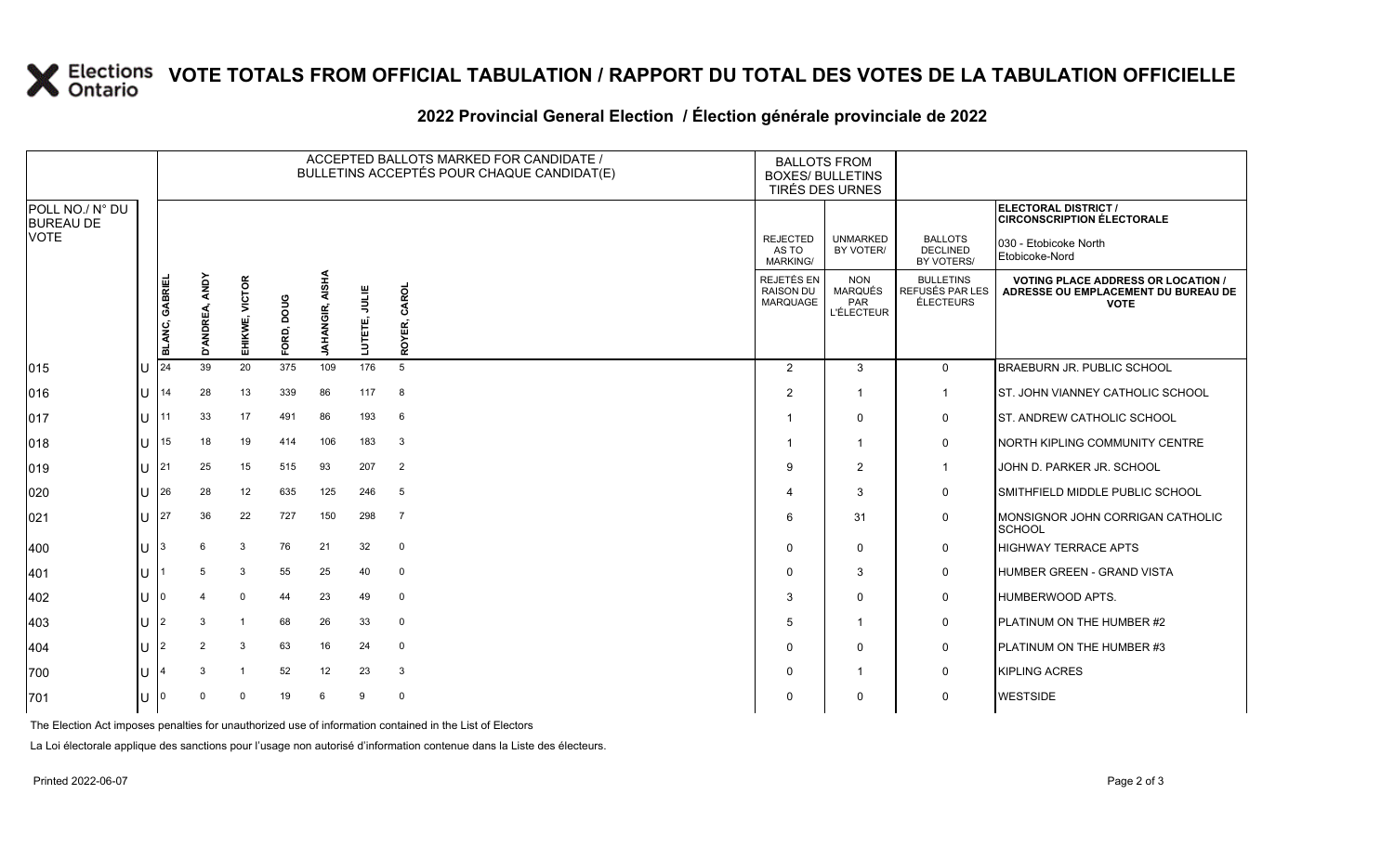# **X** Elections VOTE TOTALS FROM OFFICIAL TABULATION / RAPPORT DU TOTAL DES VOTES DE LA TABULATION OFFICIELLE

### **2022 Provincial General Election / Élection générale provinciale de 2022**

|                                     |     | ACCEPTED BALLOTS MARKED FOR CANDIDATE /<br>BULLETINS ACCEPTÉS POUR CHAQUE CANDIDAT(E) |                   |                |               |                                  |                  |                 | <b>BALLOTS FROM</b><br><b>BOXES/ BULLETINS</b><br>TIRÉS DES URNES |                                                          |                                                  |                                                                                                 |
|-------------------------------------|-----|---------------------------------------------------------------------------------------|-------------------|----------------|---------------|----------------------------------|------------------|-----------------|-------------------------------------------------------------------|----------------------------------------------------------|--------------------------------------------------|-------------------------------------------------------------------------------------------------|
| POLL NO./ N° DU<br><b>BUREAU DE</b> |     |                                                                                       |                   |                |               |                                  |                  |                 |                                                                   |                                                          |                                                  | ELECTORAL DISTRICT /<br><b>CIRCONSCRIPTION ÉLECTORALE</b>                                       |
| <b>VOTE</b>                         |     |                                                                                       |                   |                |               |                                  |                  |                 | <b>REJECTED</b><br>AS TO<br><b>MARKING/</b>                       | <b>UNMARKED</b><br>BY VOTER/                             | <b>BALLOTS</b><br><b>DECLINED</b><br>BY VOTERS/  | 030 - Etobicoke North<br>Etobicoke-Nord                                                         |
|                                     |     | BLANC, GABRIEL                                                                        | ANDY<br>D'ANDREA, | EHIKWE, VICTOR | poug<br>FORD, | <b>AISHA</b><br><b>JAHANGIR,</b> | JULIE<br>LUTETE, | CAROL<br>ROYER, | REJETÉS EN<br><b>RAISON DU</b><br>MARQUAGE                        | <b>NON</b><br><b>MARQUÉS</b><br>PAR<br><b>L'ÉLECTEUR</b> | <b>BULLETINS</b><br>REFUSÉS PAR LES<br>ÉLECTEURS | <b>VOTING PLACE ADDRESS OR LOCATION /</b><br>ADRESSE OU EMPLACEMENT DU BUREAU DE<br><b>VOTE</b> |
| 015                                 | IU  | 24                                                                                    | 39                | 20             | 375           | 109                              | 176              | 5               | 2                                                                 | 3                                                        | $\overline{0}$                                   | <b>BRAEBURN JR. PUBLIC SCHOOL</b>                                                               |
| 016                                 | lU. | 14                                                                                    | 28                | 13             | 339           | 86                               | 117              | 8               | $\overline{2}$                                                    | $\mathbf{1}$                                             | $\mathbf{1}$                                     | ST. JOHN VIANNEY CATHOLIC SCHOOL                                                                |
| 017                                 | ΙU  | 11                                                                                    | 33                | 17             | 491           | 86                               | 193              | 6               | -1                                                                | $\mathbf{0}$                                             | 0                                                | <b>ST. ANDREW CATHOLIC SCHOOL</b>                                                               |
| 018                                 | IП  | 15                                                                                    | 18                | 19             | 414           | 106                              | 183              | $\mathbf{3}$    | -1                                                                | $\mathbf{1}$                                             | 0                                                | NORTH KIPLING COMMUNITY CENTRE                                                                  |
| 019                                 | ΙU  | 21                                                                                    | 25                | 15             | 515           | 93                               | 207              | $\overline{2}$  | 9                                                                 | 2                                                        | $\mathbf{1}$                                     | JOHN D. PARKER JR. SCHOOL                                                                       |
| 020                                 | ΙU  | 26                                                                                    | 28                | 12             | 635           | 125                              | 246              | 5               |                                                                   | 3                                                        | $\mathbf 0$                                      | SMITHFIELD MIDDLE PUBLIC SCHOOL                                                                 |
| 021                                 | IU. | 27                                                                                    | 36                | 22             | 727           | 150                              | 298              | $\overline{7}$  | 6                                                                 | 31                                                       | 0                                                | MONSIGNOR JOHN CORRIGAN CATHOLIC<br><b>SCHOOL</b>                                               |
| 400                                 | IU. | 3                                                                                     | 6                 | 3              | 76            | 21                               | 32               | $\mathbf 0$     | $\Omega$                                                          | $\Omega$                                                 | 0                                                | <b>HIGHWAY TERRACE APTS</b>                                                                     |
| 401                                 | lU  |                                                                                       | 5                 | 3              | 55            | 25                               | 40               | $\mathbf 0$     | $\Omega$                                                          | 3                                                        | 0                                                | HUMBER GREEN - GRAND VISTA                                                                      |
| 402                                 | IU  | n                                                                                     |                   | $\mathbf 0$    | 44            | 23                               | 49               | 0               | 3                                                                 | $\Omega$                                                 | $\mathsf{O}$                                     | <b>HUMBERWOOD APTS.</b>                                                                         |
| 403                                 | IU  | 2                                                                                     | 3                 | $\overline{1}$ | 68            | 26                               | 33               | 0               | 5                                                                 | $\mathbf 1$                                              | 0                                                | <b>PLATINUM ON THE HUMBER #2</b>                                                                |
| 404                                 | ΙU  | $\overline{2}$                                                                        | 2                 | 3              | 63            | 16                               | 24               | $\mathbf 0$     | $\Omega$                                                          | $\mathbf 0$                                              | $\mathbf 0$                                      | <b>PLATINUM ON THE HUMBER #3</b>                                                                |
| 700                                 | lU. |                                                                                       | 3                 | $\overline{1}$ | 52            | 12                               | 23               | 3               | $\Omega$                                                          | $\mathbf{1}$                                             | 0                                                | <b>KIPLING ACRES</b>                                                                            |
| 701                                 | IU  |                                                                                       | $\Omega$          | $\Omega$       | 19            | 6                                | 9                | $\mathbf 0$     | <sup>0</sup>                                                      | $\Omega$                                                 | 0                                                | <b>WESTSIDE</b>                                                                                 |

The Election Act imposes penalties for unauthorized use of information contained in the List of Electors

La Loi électorale applique des sanctions pour l'usage non autorisé d'information contenue dans la Liste des électeurs.